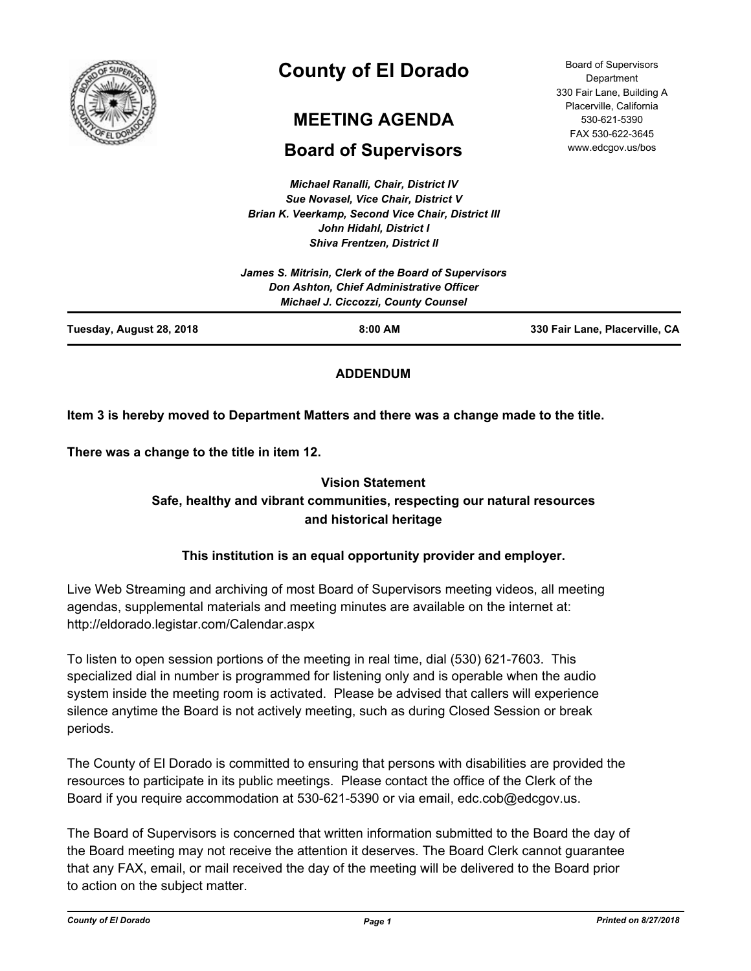

# **County of El Dorado**

# **MEETING AGENDA**

# **Board of Supervisors**

*Michael Ranalli, Chair, District IV Sue Novasel, Vice Chair, District V Brian K. Veerkamp, Second Vice Chair, District III John Hidahl, District I Shiva Frentzen, District II*

Board of Supervisors Department 330 Fair Lane, Building A Placerville, California 530-621-5390 FAX 530-622-3645 www.edcgov.us/bos

| Tuesday, August 28, 2018 | $8:00$ AM                                                                              | 330 Fair Lane, Placerville, CA |
|--------------------------|----------------------------------------------------------------------------------------|--------------------------------|
|                          | Don Ashton, Chief Administrative Officer<br><b>Michael J. Ciccozzi, County Counsel</b> |                                |
|                          | James S. Mitrisin, Clerk of the Board of Supervisors                                   |                                |
|                          |                                                                                        |                                |

# **ADDENDUM**

# **Item 3 is hereby moved to Department Matters and there was a change made to the title.**

**There was a change to the title in item 12.**

# **Vision Statement Safe, healthy and vibrant communities, respecting our natural resources and historical heritage**

# **This institution is an equal opportunity provider and employer.**

Live Web Streaming and archiving of most Board of Supervisors meeting videos, all meeting agendas, supplemental materials and meeting minutes are available on the internet at: http://eldorado.legistar.com/Calendar.aspx

To listen to open session portions of the meeting in real time, dial (530) 621-7603. This specialized dial in number is programmed for listening only and is operable when the audio system inside the meeting room is activated. Please be advised that callers will experience silence anytime the Board is not actively meeting, such as during Closed Session or break periods.

The County of El Dorado is committed to ensuring that persons with disabilities are provided the resources to participate in its public meetings. Please contact the office of the Clerk of the Board if you require accommodation at 530-621-5390 or via email, edc.cob@edcgov.us.

The Board of Supervisors is concerned that written information submitted to the Board the day of the Board meeting may not receive the attention it deserves. The Board Clerk cannot guarantee that any FAX, email, or mail received the day of the meeting will be delivered to the Board prior to action on the subject matter.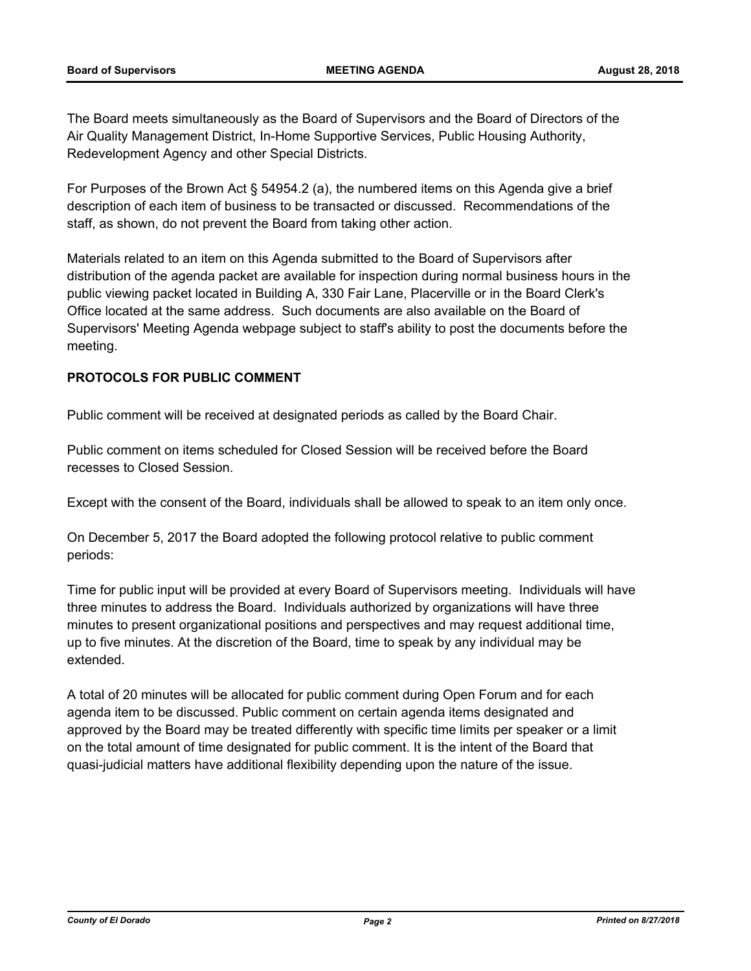The Board meets simultaneously as the Board of Supervisors and the Board of Directors of the Air Quality Management District, In-Home Supportive Services, Public Housing Authority, Redevelopment Agency and other Special Districts.

For Purposes of the Brown Act § 54954.2 (a), the numbered items on this Agenda give a brief description of each item of business to be transacted or discussed. Recommendations of the staff, as shown, do not prevent the Board from taking other action.

Materials related to an item on this Agenda submitted to the Board of Supervisors after distribution of the agenda packet are available for inspection during normal business hours in the public viewing packet located in Building A, 330 Fair Lane, Placerville or in the Board Clerk's Office located at the same address. Such documents are also available on the Board of Supervisors' Meeting Agenda webpage subject to staff's ability to post the documents before the meeting.

### **PROTOCOLS FOR PUBLIC COMMENT**

Public comment will be received at designated periods as called by the Board Chair.

Public comment on items scheduled for Closed Session will be received before the Board recesses to Closed Session.

Except with the consent of the Board, individuals shall be allowed to speak to an item only once.

On December 5, 2017 the Board adopted the following protocol relative to public comment periods:

Time for public input will be provided at every Board of Supervisors meeting. Individuals will have three minutes to address the Board. Individuals authorized by organizations will have three minutes to present organizational positions and perspectives and may request additional time, up to five minutes. At the discretion of the Board, time to speak by any individual may be extended.

A total of 20 minutes will be allocated for public comment during Open Forum and for each agenda item to be discussed. Public comment on certain agenda items designated and approved by the Board may be treated differently with specific time limits per speaker or a limit on the total amount of time designated for public comment. It is the intent of the Board that quasi-judicial matters have additional flexibility depending upon the nature of the issue.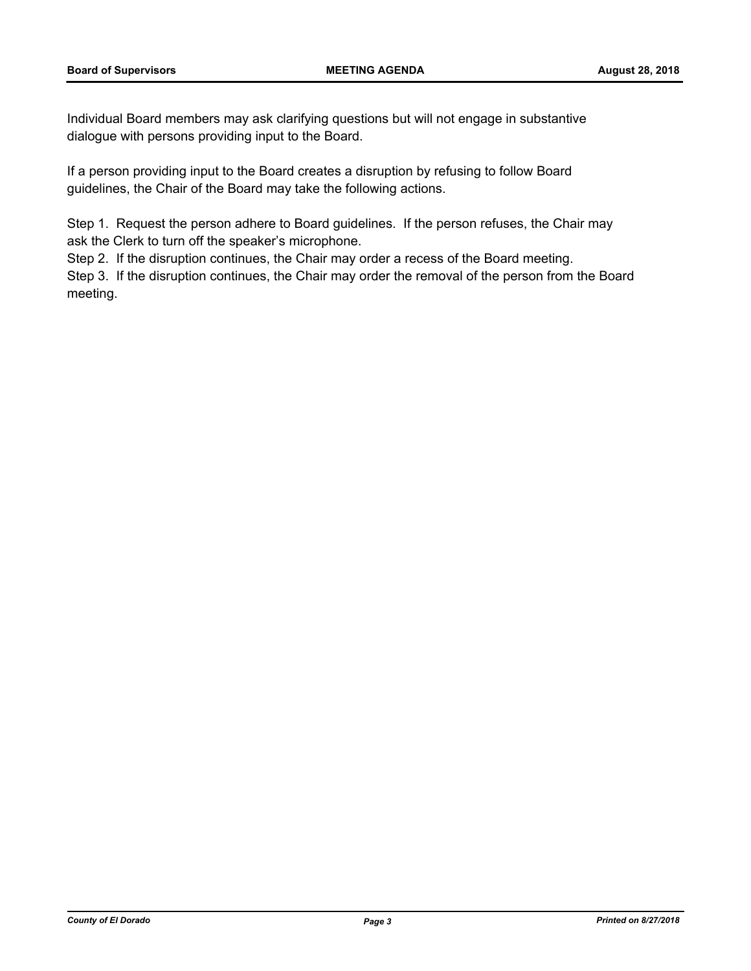Individual Board members may ask clarifying questions but will not engage in substantive dialogue with persons providing input to the Board.

If a person providing input to the Board creates a disruption by refusing to follow Board guidelines, the Chair of the Board may take the following actions.

Step 1. Request the person adhere to Board guidelines. If the person refuses, the Chair may ask the Clerk to turn off the speaker's microphone.

Step 2. If the disruption continues, the Chair may order a recess of the Board meeting.

Step 3. If the disruption continues, the Chair may order the removal of the person from the Board meeting.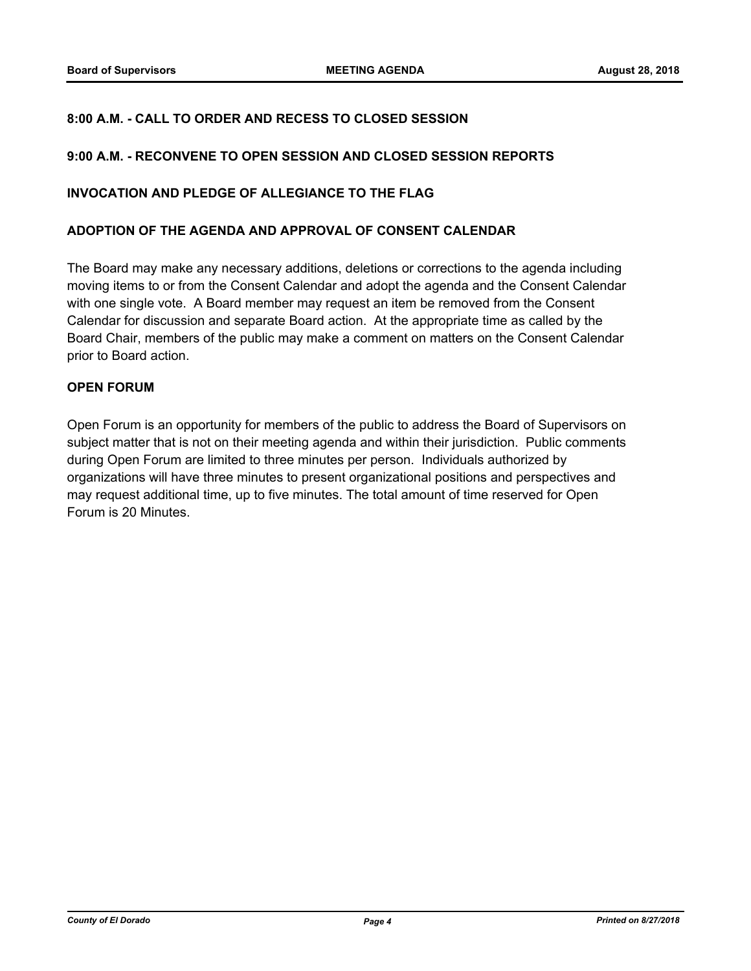#### **8:00 A.M. - CALL TO ORDER AND RECESS TO CLOSED SESSION**

#### **9:00 A.M. - RECONVENE TO OPEN SESSION AND CLOSED SESSION REPORTS**

#### **INVOCATION AND PLEDGE OF ALLEGIANCE TO THE FLAG**

#### **ADOPTION OF THE AGENDA AND APPROVAL OF CONSENT CALENDAR**

The Board may make any necessary additions, deletions or corrections to the agenda including moving items to or from the Consent Calendar and adopt the agenda and the Consent Calendar with one single vote. A Board member may request an item be removed from the Consent Calendar for discussion and separate Board action. At the appropriate time as called by the Board Chair, members of the public may make a comment on matters on the Consent Calendar prior to Board action.

#### **OPEN FORUM**

Open Forum is an opportunity for members of the public to address the Board of Supervisors on subject matter that is not on their meeting agenda and within their jurisdiction. Public comments during Open Forum are limited to three minutes per person. Individuals authorized by organizations will have three minutes to present organizational positions and perspectives and may request additional time, up to five minutes. The total amount of time reserved for Open Forum is 20 Minutes.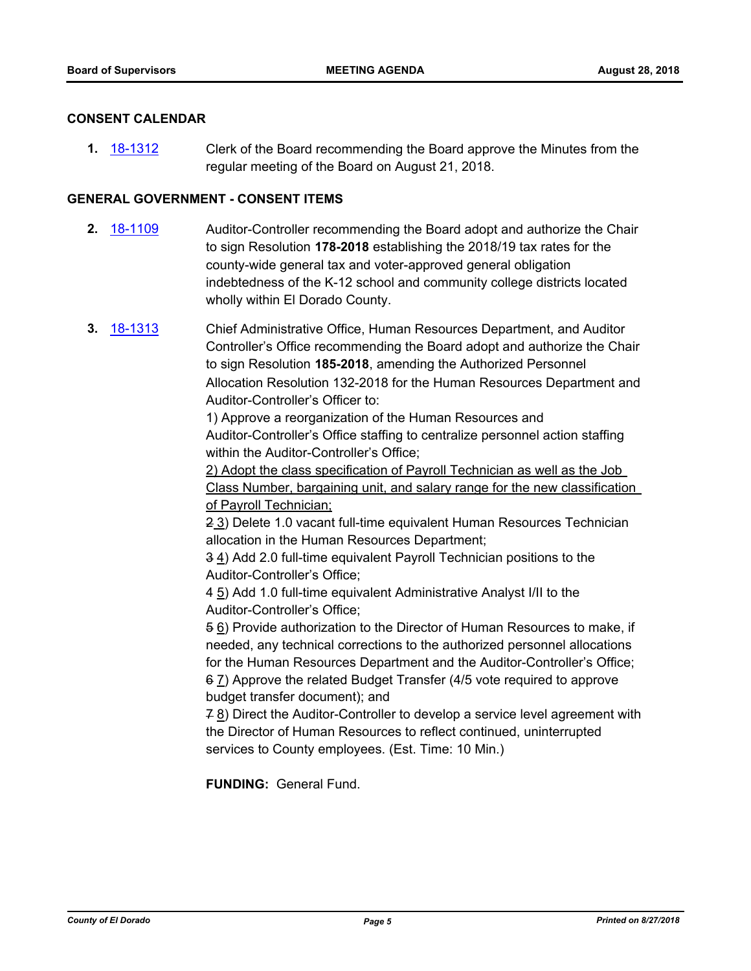#### **CONSENT CALENDAR**

**1.** [18-1312](http://eldorado.legistar.com/gateway.aspx?m=l&id=/matter.aspx?key=24663) Clerk of the Board recommending the Board approve the Minutes from the regular meeting of the Board on August 21, 2018.

#### **GENERAL GOVERNMENT - CONSENT ITEMS**

- **2.** [18-1109](http://eldorado.legistar.com/gateway.aspx?m=l&id=/matter.aspx?key=24459) Auditor-Controller recommending the Board adopt and authorize the Chair to sign Resolution **178-2018** establishing the 2018/19 tax rates for the county-wide general tax and voter-approved general obligation indebtedness of the K-12 school and community college districts located wholly within El Dorado County.
- **3.** [18-1313](http://eldorado.legistar.com/gateway.aspx?m=l&id=/matter.aspx?key=24664) Chief Administrative Office, Human Resources Department, and Auditor Controller's Office recommending the Board adopt and authorize the Chair to sign Resolution **185-2018**, amending the Authorized Personnel Allocation Resolution 132-2018 for the Human Resources Department and Auditor-Controller's Officer to:

1) Approve a reorganization of the Human Resources and Auditor-Controller's Office staffing to centralize personnel action staffing within the Auditor-Controller's Office;

2) Adopt the class specification of Payroll Technician as well as the Job Class Number, bargaining unit, and salary range for the new classification of Payroll Technician;

2 3) Delete 1.0 vacant full-time equivalent Human Resources Technician allocation in the Human Resources Department;

3 4) Add 2.0 full-time equivalent Payroll Technician positions to the Auditor-Controller's Office;

4 5) Add 1.0 full-time equivalent Administrative Analyst I/II to the Auditor-Controller's Office;

5 6) Provide authorization to the Director of Human Resources to make, if needed, any technical corrections to the authorized personnel allocations for the Human Resources Department and the Auditor-Controller's Office; 6 7) Approve the related Budget Transfer (4/5 vote required to approve budget transfer document); and

7 8) Direct the Auditor-Controller to develop a service level agreement with the Director of Human Resources to reflect continued, uninterrupted services to County employees. (Est. Time: 10 Min.)

**FUNDING:** General Fund.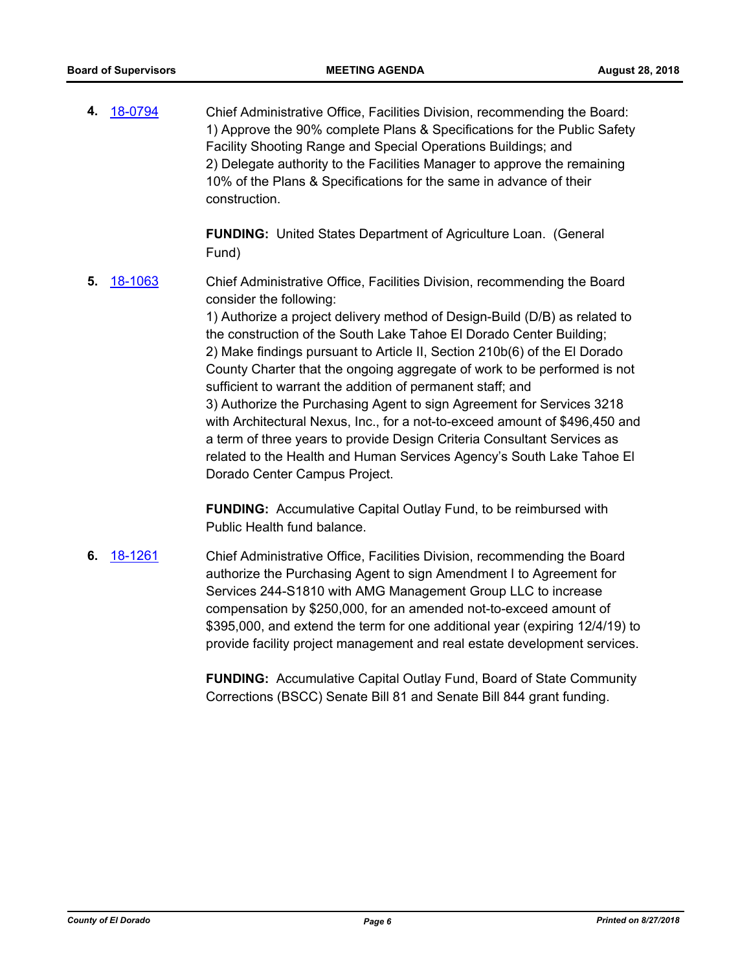**4.** [18-0794](http://eldorado.legistar.com/gateway.aspx?m=l&id=/matter.aspx?key=24141) Chief Administrative Office, Facilities Division, recommending the Board: 1) Approve the 90% complete Plans & Specifications for the Public Safety Facility Shooting Range and Special Operations Buildings; and 2) Delegate authority to the Facilities Manager to approve the remaining 10% of the Plans & Specifications for the same in advance of their construction.

> **FUNDING:** United States Department of Agriculture Loan. (General Fund)

**5.** [18-1063](http://eldorado.legistar.com/gateway.aspx?m=l&id=/matter.aspx?key=24413) Chief Administrative Office, Facilities Division, recommending the Board consider the following:

> 1) Authorize a project delivery method of Design-Build (D/B) as related to the construction of the South Lake Tahoe El Dorado Center Building; 2) Make findings pursuant to Article II, Section 210b(6) of the El Dorado County Charter that the ongoing aggregate of work to be performed is not sufficient to warrant the addition of permanent staff; and 3) Authorize the Purchasing Agent to sign Agreement for Services 3218 with Architectural Nexus, Inc., for a not-to-exceed amount of \$496,450 and a term of three years to provide Design Criteria Consultant Services as related to the Health and Human Services Agency's South Lake Tahoe El Dorado Center Campus Project.

**FUNDING:** Accumulative Capital Outlay Fund, to be reimbursed with Public Health fund balance.

**6.** [18-1261](http://eldorado.legistar.com/gateway.aspx?m=l&id=/matter.aspx?key=24612) Chief Administrative Office, Facilities Division, recommending the Board authorize the Purchasing Agent to sign Amendment I to Agreement for Services 244-S1810 with AMG Management Group LLC to increase compensation by \$250,000, for an amended not-to-exceed amount of \$395,000, and extend the term for one additional year (expiring 12/4/19) to provide facility project management and real estate development services.

> **FUNDING:** Accumulative Capital Outlay Fund, Board of State Community Corrections (BSCC) Senate Bill 81 and Senate Bill 844 grant funding.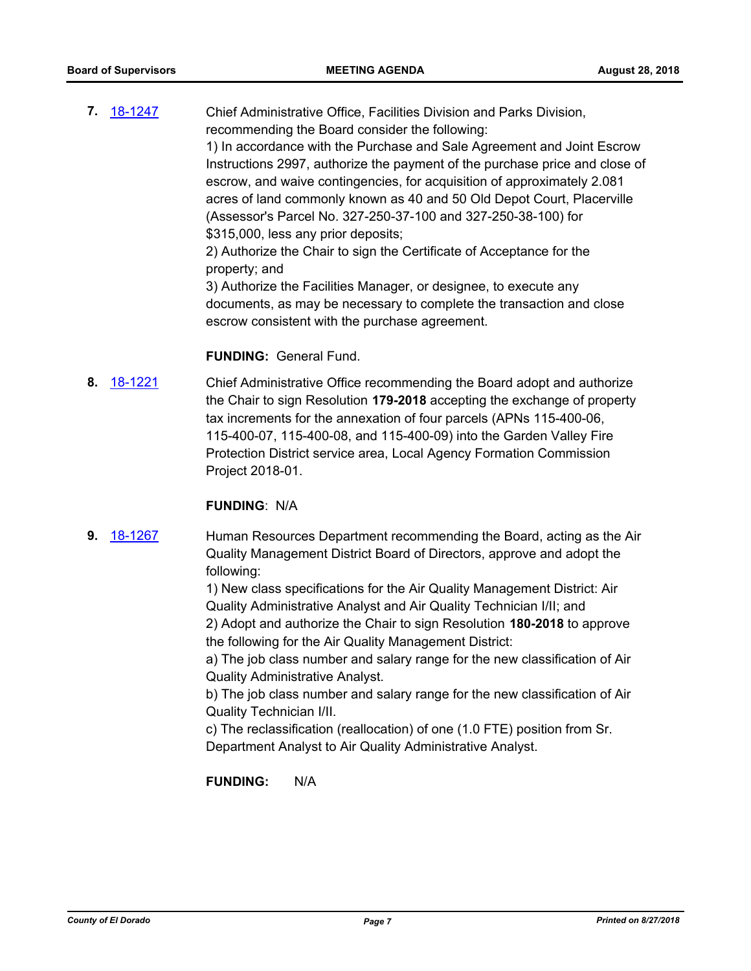**7.** [18-1247](http://eldorado.legistar.com/gateway.aspx?m=l&id=/matter.aspx?key=24598) Chief Administrative Office, Facilities Division and Parks Division, recommending the Board consider the following: 1) In accordance with the Purchase and Sale Agreement and Joint Escrow Instructions 2997, authorize the payment of the purchase price and close of escrow, and waive contingencies, for acquisition of approximately 2.081 acres of land commonly known as 40 and 50 Old Depot Court, Placerville (Assessor's Parcel No. 327-250-37-100 and 327-250-38-100) for \$315,000, less any prior deposits; 2) Authorize the Chair to sign the Certificate of Acceptance for the property; and 3) Authorize the Facilities Manager, or designee, to execute any documents, as may be necessary to complete the transaction and close

#### **FUNDING:** General Fund.

**8.** [18-1221](http://eldorado.legistar.com/gateway.aspx?m=l&id=/matter.aspx?key=24572) Chief Administrative Office recommending the Board adopt and authorize the Chair to sign Resolution **179-2018** accepting the exchange of property tax increments for the annexation of four parcels (APNs 115-400-06, 115-400-07, 115-400-08, and 115-400-09) into the Garden Valley Fire Protection District service area, Local Agency Formation Commission Project 2018-01.

escrow consistent with the purchase agreement.

#### **FUNDING**: N/A

**9.** [18-1267](http://eldorado.legistar.com/gateway.aspx?m=l&id=/matter.aspx?key=24618) Human Resources Department recommending the Board, acting as the Air Quality Management District Board of Directors, approve and adopt the following:

> 1) New class specifications for the Air Quality Management District: Air Quality Administrative Analyst and Air Quality Technician I/II; and 2) Adopt and authorize the Chair to sign Resolution **180-2018** to approve the following for the Air Quality Management District:

> a) The job class number and salary range for the new classification of Air Quality Administrative Analyst.

> b) The job class number and salary range for the new classification of Air Quality Technician I/II.

c) The reclassification (reallocation) of one (1.0 FTE) position from Sr. Department Analyst to Air Quality Administrative Analyst.

**FUNDING:** N/A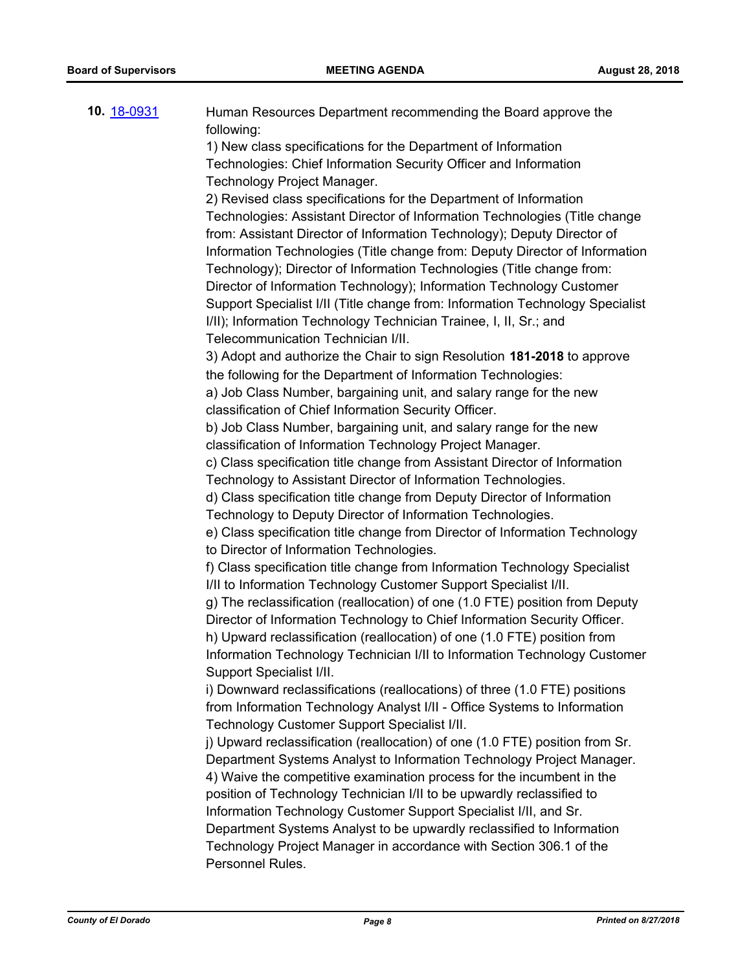| 10. 18-0931 | Human Resources Department recommending the Board approve the<br>following:                            |
|-------------|--------------------------------------------------------------------------------------------------------|
|             | 1) New class specifications for the Department of Information                                          |
|             | Technologies: Chief Information Security Officer and Information                                       |
|             | Technology Project Manager.                                                                            |
|             | 2) Revised class specifications for the Department of Information                                      |
|             | Technologies: Assistant Director of Information Technologies (Title change                             |
|             | from: Assistant Director of Information Technology); Deputy Director of                                |
|             | Information Technologies (Title change from: Deputy Director of Information                            |
|             | Technology); Director of Information Technologies (Title change from:                                  |
|             | Director of Information Technology); Information Technology Customer                                   |
|             | Support Specialist I/II (Title change from: Information Technology Specialist                          |
|             | I/II); Information Technology Technician Trainee, I, II, Sr.; and                                      |
|             | Telecommunication Technician I/II.                                                                     |
|             | 3) Adopt and authorize the Chair to sign Resolution 181-2018 to approve                                |
|             | the following for the Department of Information Technologies:                                          |
|             | a) Job Class Number, bargaining unit, and salary range for the new                                     |
|             | classification of Chief Information Security Officer.                                                  |
|             | b) Job Class Number, bargaining unit, and salary range for the new                                     |
|             | classification of Information Technology Project Manager.                                              |
|             | c) Class specification title change from Assistant Director of Information                             |
|             | Technology to Assistant Director of Information Technologies.                                          |
|             | d) Class specification title change from Deputy Director of Information                                |
|             | Technology to Deputy Director of Information Technologies.                                             |
|             | e) Class specification title change from Director of Information Technology                            |
|             | to Director of Information Technologies.                                                               |
|             | f) Class specification title change from Information Technology Specialist                             |
|             | I/II to Information Technology Customer Support Specialist I/II.                                       |
|             | g) The reclassification (reallocation) of one (1.0 FTE) position from Deputy                           |
|             | Director of Information Technology to Chief Information Security Officer.                              |
|             | h) Upward reclassification (reallocation) of one (1.0 FTE) position from                               |
|             | Information Technology Technician I/II to Information Technology Customer                              |
|             | Support Specialist I/II.<br>i) Downward reclassifications (reallocations) of three (1.0 FTE) positions |
|             | from Information Technology Analyst I/II - Office Systems to Information                               |
|             | Technology Customer Support Specialist I/II.                                                           |
|             | j) Upward reclassification (reallocation) of one (1.0 FTE) position from Sr.                           |
|             | Department Systems Analyst to Information Technology Project Manager.                                  |
|             | 4) Waive the competitive examination process for the incumbent in the                                  |
|             | position of Technology Technician I/II to be upwardly reclassified to                                  |
|             | Information Technology Customer Support Specialist I/II, and Sr.                                       |
|             | Department Systems Analyst to be upwardly reclassified to Information                                  |
|             | Technology Project Manager in accordance with Section 306.1 of the                                     |
|             | Personnel Rules.                                                                                       |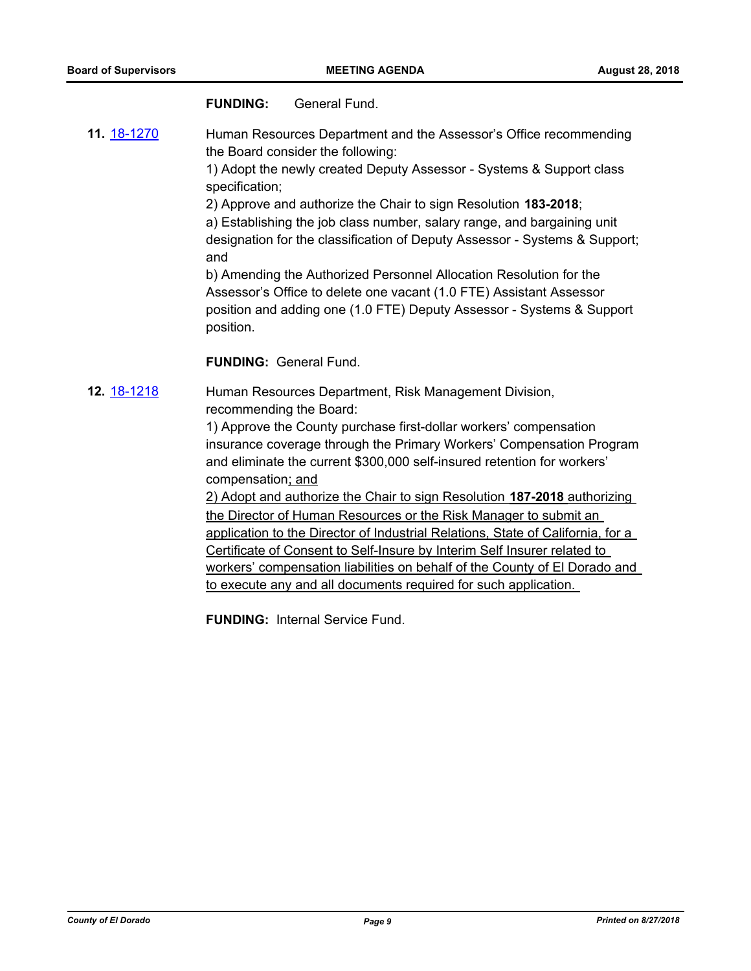#### **FUNDING:** General Fund.

**11.** [18-1270](http://eldorado.legistar.com/gateway.aspx?m=l&id=/matter.aspx?key=24621) Human Resources Department and the Assessor's Office recommending the Board consider the following:

> 1) Adopt the newly created Deputy Assessor - Systems & Support class specification;

2) Approve and authorize the Chair to sign Resolution **183-2018**;

a) Establishing the job class number, salary range, and bargaining unit designation for the classification of Deputy Assessor - Systems & Support; and

b) Amending the Authorized Personnel Allocation Resolution for the Assessor's Office to delete one vacant (1.0 FTE) Assistant Assessor position and adding one (1.0 FTE) Deputy Assessor - Systems & Support position.

#### **FUNDING:** General Fund.

**12.** [18-1218](http://eldorado.legistar.com/gateway.aspx?m=l&id=/matter.aspx?key=24569) Human Resources Department, Risk Management Division, recommending the Board:

> 1) Approve the County purchase first-dollar workers' compensation insurance coverage through the Primary Workers' Compensation Program and eliminate the current \$300,000 self-insured retention for workers' compensation; and

> 2) Adopt and authorize the Chair to sign Resolution **187-2018** authorizing the Director of Human Resources or the Risk Manager to submit an application to the Director of Industrial Relations, State of California, for a Certificate of Consent to Self-Insure by Interim Self Insurer related to workers' compensation liabilities on behalf of the County of El Dorado and to execute any and all documents required for such application.

**FUNDING:** Internal Service Fund.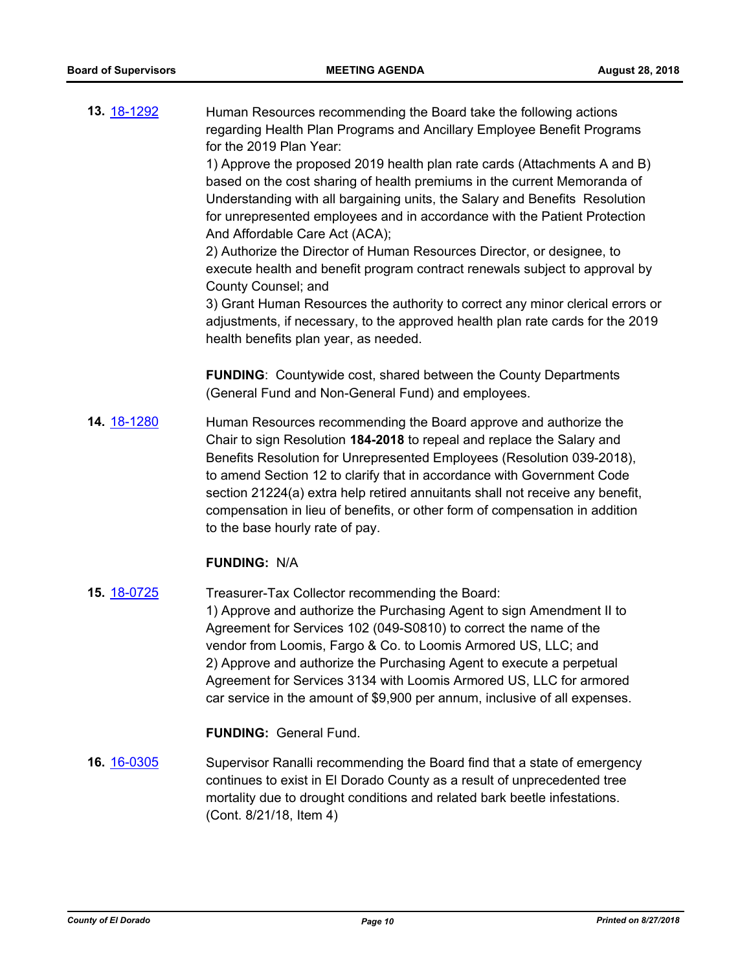**13.** [18-1292](http://eldorado.legistar.com/gateway.aspx?m=l&id=/matter.aspx?key=24643) Human Resources recommending the Board take the following actions regarding Health Plan Programs and Ancillary Employee Benefit Programs for the 2019 Plan Year:

> 1) Approve the proposed 2019 health plan rate cards (Attachments A and B) based on the cost sharing of health premiums in the current Memoranda of Understanding with all bargaining units, the Salary and Benefits Resolution for unrepresented employees and in accordance with the Patient Protection And Affordable Care Act (ACA);

> 2) Authorize the Director of Human Resources Director, or designee, to execute health and benefit program contract renewals subject to approval by County Counsel; and

3) Grant Human Resources the authority to correct any minor clerical errors or adjustments, if necessary, to the approved health plan rate cards for the 2019 health benefits plan year, as needed.

**FUNDING**: Countywide cost, shared between the County Departments (General Fund and Non-General Fund) and employees.

**14.** [18-1280](http://eldorado.legistar.com/gateway.aspx?m=l&id=/matter.aspx?key=24631) Human Resources recommending the Board approve and authorize the Chair to sign Resolution **184-2018** to repeal and replace the Salary and Benefits Resolution for Unrepresented Employees (Resolution 039-2018), to amend Section 12 to clarify that in accordance with Government Code section 21224(a) extra help retired annuitants shall not receive any benefit, compensation in lieu of benefits, or other form of compensation in addition to the base hourly rate of pay.

#### **FUNDING:** N/A

**15.** [18-0725](http://eldorado.legistar.com/gateway.aspx?m=l&id=/matter.aspx?key=24072) Treasurer-Tax Collector recommending the Board: 1) Approve and authorize the Purchasing Agent to sign Amendment II to Agreement for Services 102 (049-S0810) to correct the name of the vendor from Loomis, Fargo & Co. to Loomis Armored US, LLC; and 2) Approve and authorize the Purchasing Agent to execute a perpetual Agreement for Services 3134 with Loomis Armored US, LLC for armored car service in the amount of \$9,900 per annum, inclusive of all expenses.

**FUNDING:** General Fund.

**16.** [16-0305](http://eldorado.legistar.com/gateway.aspx?m=l&id=/matter.aspx?key=20961) Supervisor Ranalli recommending the Board find that a state of emergency continues to exist in El Dorado County as a result of unprecedented tree mortality due to drought conditions and related bark beetle infestations. (Cont. 8/21/18, Item 4)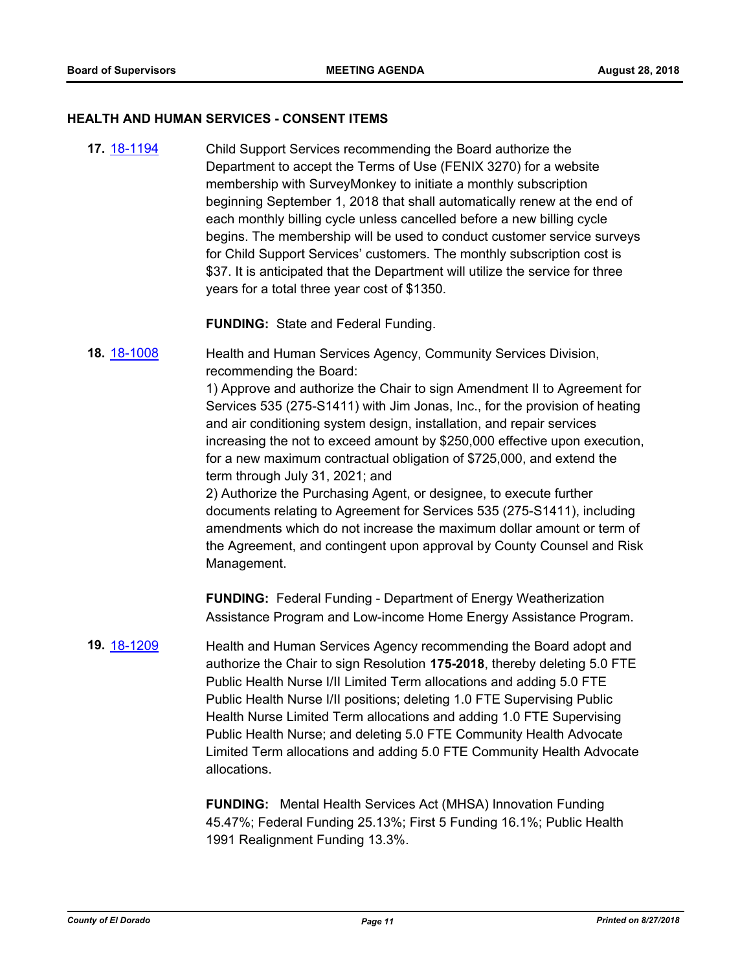#### **HEALTH AND HUMAN SERVICES - CONSENT ITEMS**

**17.** [18-1194](http://eldorado.legistar.com/gateway.aspx?m=l&id=/matter.aspx?key=24545) Child Support Services recommending the Board authorize the Department to accept the Terms of Use (FENIX 3270) for a website membership with SurveyMonkey to initiate a monthly subscription beginning September 1, 2018 that shall automatically renew at the end of each monthly billing cycle unless cancelled before a new billing cycle begins. The membership will be used to conduct customer service surveys for Child Support Services' customers. The monthly subscription cost is \$37. It is anticipated that the Department will utilize the service for three years for a total three year cost of \$1350.

**FUNDING:** State and Federal Funding.

**18.** [18-1008](http://eldorado.legistar.com/gateway.aspx?m=l&id=/matter.aspx?key=24357) Health and Human Services Agency, Community Services Division, recommending the Board:

> 1) Approve and authorize the Chair to sign Amendment II to Agreement for Services 535 (275-S1411) with Jim Jonas, Inc., for the provision of heating and air conditioning system design, installation, and repair services increasing the not to exceed amount by \$250,000 effective upon execution, for a new maximum contractual obligation of \$725,000, and extend the term through July 31, 2021; and

> 2) Authorize the Purchasing Agent, or designee, to execute further documents relating to Agreement for Services 535 (275-S1411), including amendments which do not increase the maximum dollar amount or term of the Agreement, and contingent upon approval by County Counsel and Risk Management.

**FUNDING:** Federal Funding - Department of Energy Weatherization Assistance Program and Low-income Home Energy Assistance Program.

**19.** [18-1209](http://eldorado.legistar.com/gateway.aspx?m=l&id=/matter.aspx?key=24560) Health and Human Services Agency recommending the Board adopt and authorize the Chair to sign Resolution **175-2018**, thereby deleting 5.0 FTE Public Health Nurse I/II Limited Term allocations and adding 5.0 FTE Public Health Nurse I/II positions; deleting 1.0 FTE Supervising Public Health Nurse Limited Term allocations and adding 1.0 FTE Supervising Public Health Nurse; and deleting 5.0 FTE Community Health Advocate Limited Term allocations and adding 5.0 FTE Community Health Advocate allocations.

> **FUNDING:** Mental Health Services Act (MHSA) Innovation Funding 45.47%; Federal Funding 25.13%; First 5 Funding 16.1%; Public Health 1991 Realignment Funding 13.3%.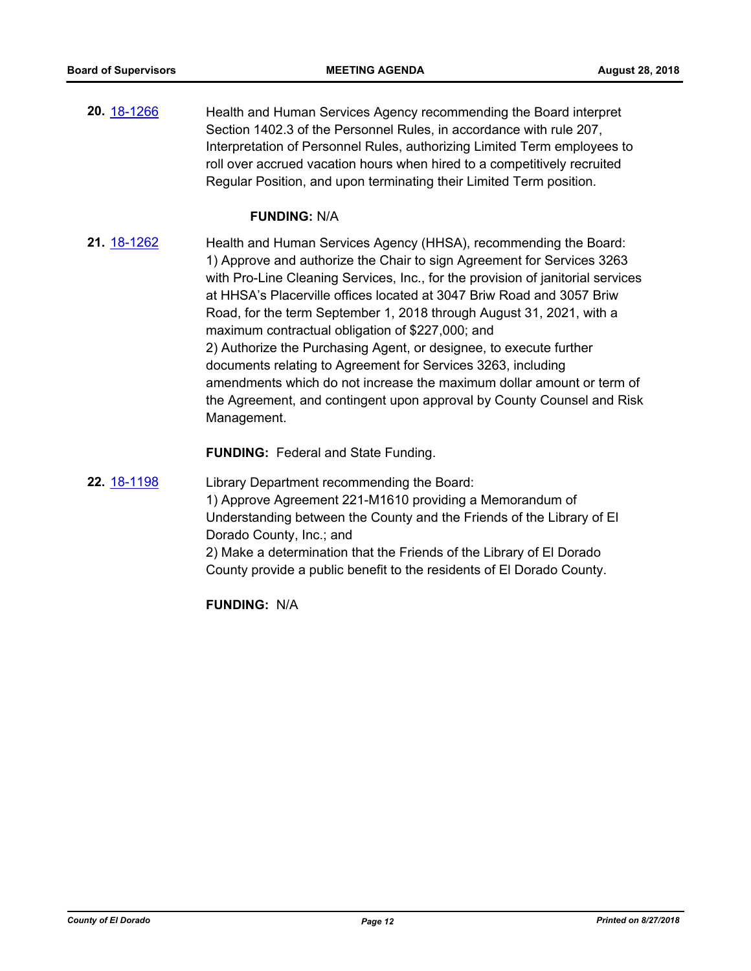**20.** [18-1266](http://eldorado.legistar.com/gateway.aspx?m=l&id=/matter.aspx?key=24617) Health and Human Services Agency recommending the Board interpret Section 1402.3 of the Personnel Rules, in accordance with rule 207, Interpretation of Personnel Rules, authorizing Limited Term employees to roll over accrued vacation hours when hired to a competitively recruited Regular Position, and upon terminating their Limited Term position.

#### **FUNDING:** N/A

**21.** [18-1262](http://eldorado.legistar.com/gateway.aspx?m=l&id=/matter.aspx?key=24613) Health and Human Services Agency (HHSA), recommending the Board: 1) Approve and authorize the Chair to sign Agreement for Services 3263 with Pro-Line Cleaning Services, Inc., for the provision of janitorial services at HHSA's Placerville offices located at 3047 Briw Road and 3057 Briw Road, for the term September 1, 2018 through August 31, 2021, with a maximum contractual obligation of \$227,000; and 2) Authorize the Purchasing Agent, or designee, to execute further documents relating to Agreement for Services 3263, including amendments which do not increase the maximum dollar amount or term of the Agreement, and contingent upon approval by County Counsel and Risk Management.

**FUNDING:** Federal and State Funding.

**22.** [18-1198](http://eldorado.legistar.com/gateway.aspx?m=l&id=/matter.aspx?key=24549) Library Department recommending the Board: 1) Approve Agreement 221-M1610 providing a Memorandum of Understanding between the County and the Friends of the Library of El Dorado County, Inc.; and 2) Make a determination that the Friends of the Library of El Dorado County provide a public benefit to the residents of El Dorado County.

**FUNDING:** N/A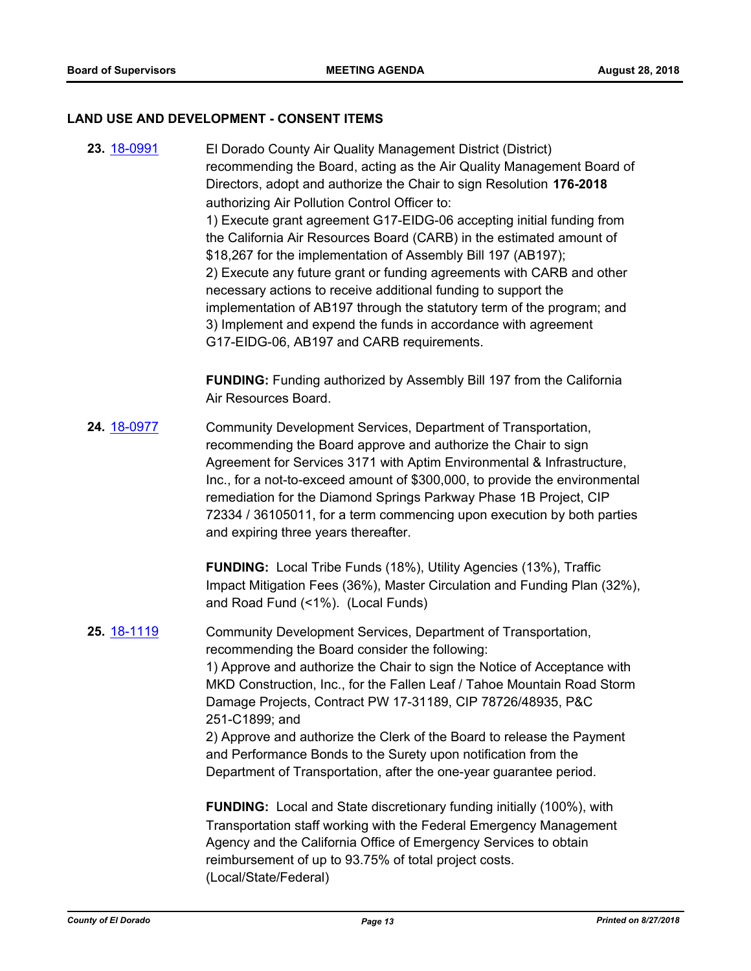#### **LAND USE AND DEVELOPMENT - CONSENT ITEMS**

**23.** [18-0991](http://eldorado.legistar.com/gateway.aspx?m=l&id=/matter.aspx?key=24340) El Dorado County Air Quality Management District (District) recommending the Board, acting as the Air Quality Management Board of Directors, adopt and authorize the Chair to sign Resolution **176-2018**  authorizing Air Pollution Control Officer to: 1) Execute grant agreement G17-EIDG-06 accepting initial funding from the California Air Resources Board (CARB) in the estimated amount of \$18,267 for the implementation of Assembly Bill 197 (AB197); 2) Execute any future grant or funding agreements with CARB and other necessary actions to receive additional funding to support the implementation of AB197 through the statutory term of the program; and 3) Implement and expend the funds in accordance with agreement G17-EIDG-06, AB197 and CARB requirements.

> **FUNDING:** Funding authorized by Assembly Bill 197 from the California Air Resources Board.

**24.** [18-0977](http://eldorado.legistar.com/gateway.aspx?m=l&id=/matter.aspx?key=24325) Community Development Services, Department of Transportation, recommending the Board approve and authorize the Chair to sign Agreement for Services 3171 with Aptim Environmental & Infrastructure, Inc., for a not-to-exceed amount of \$300,000, to provide the environmental remediation for the Diamond Springs Parkway Phase 1B Project, CIP 72334 / 36105011, for a term commencing upon execution by both parties and expiring three years thereafter.

> **FUNDING:** Local Tribe Funds (18%), Utility Agencies (13%), Traffic Impact Mitigation Fees (36%), Master Circulation and Funding Plan (32%), and Road Fund (<1%). (Local Funds)

#### **25.** [18-1119](http://eldorado.legistar.com/gateway.aspx?m=l&id=/matter.aspx?key=24469) Community Development Services, Department of Transportation, recommending the Board consider the following:

1) Approve and authorize the Chair to sign the Notice of Acceptance with MKD Construction, Inc., for the Fallen Leaf / Tahoe Mountain Road Storm Damage Projects, Contract PW 17-31189, CIP 78726/48935, P&C 251-C1899; and

2) Approve and authorize the Clerk of the Board to release the Payment and Performance Bonds to the Surety upon notification from the Department of Transportation, after the one-year guarantee period.

**FUNDING:** Local and State discretionary funding initially (100%), with Transportation staff working with the Federal Emergency Management Agency and the California Office of Emergency Services to obtain reimbursement of up to 93.75% of total project costs. (Local/State/Federal)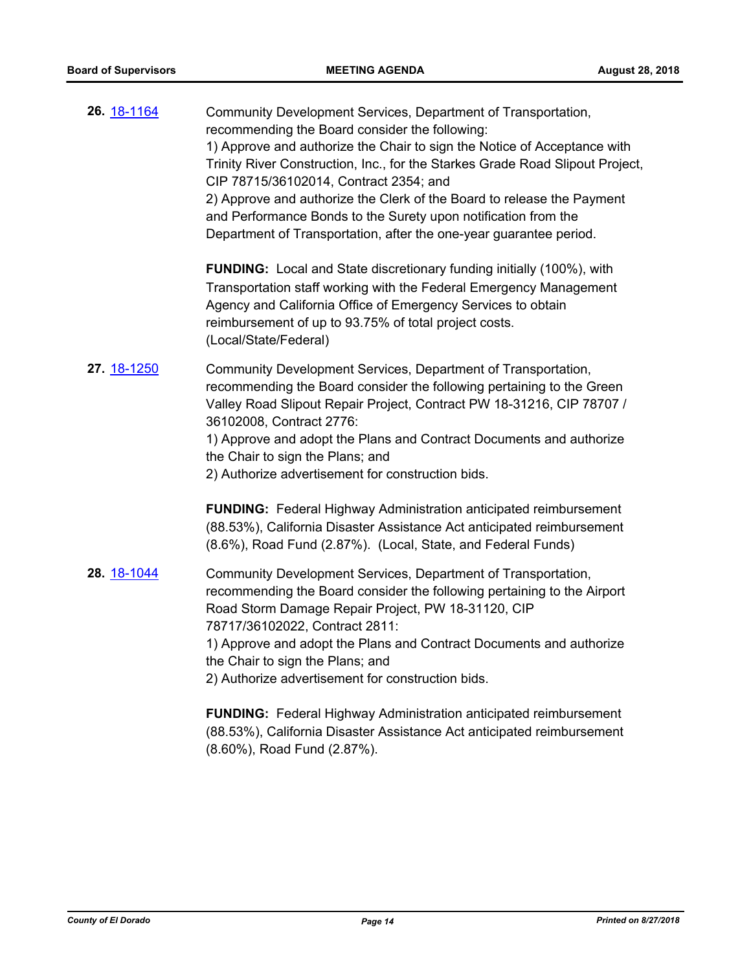| 26. 18-1164 | Community Development Services, Department of Transportation,<br>recommending the Board consider the following:<br>1) Approve and authorize the Chair to sign the Notice of Acceptance with<br>Trinity River Construction, Inc., for the Starkes Grade Road Slipout Project,<br>CIP 78715/36102014, Contract 2354; and<br>2) Approve and authorize the Clerk of the Board to release the Payment<br>and Performance Bonds to the Surety upon notification from the<br>Department of Transportation, after the one-year guarantee period. |
|-------------|------------------------------------------------------------------------------------------------------------------------------------------------------------------------------------------------------------------------------------------------------------------------------------------------------------------------------------------------------------------------------------------------------------------------------------------------------------------------------------------------------------------------------------------|
|             | <b>FUNDING:</b> Local and State discretionary funding initially (100%), with<br>Transportation staff working with the Federal Emergency Management<br>Agency and California Office of Emergency Services to obtain<br>reimbursement of up to 93.75% of total project costs.<br>(Local/State/Federal)                                                                                                                                                                                                                                     |
| 27. 18-1250 | Community Development Services, Department of Transportation,<br>recommending the Board consider the following pertaining to the Green<br>Valley Road Slipout Repair Project, Contract PW 18-31216, CIP 78707 /<br>36102008, Contract 2776:<br>1) Approve and adopt the Plans and Contract Documents and authorize<br>the Chair to sign the Plans; and<br>2) Authorize advertisement for construction bids.                                                                                                                              |
|             | <b>FUNDING:</b> Federal Highway Administration anticipated reimbursement<br>(88.53%), California Disaster Assistance Act anticipated reimbursement<br>(8.6%), Road Fund (2.87%). (Local, State, and Federal Funds)                                                                                                                                                                                                                                                                                                                       |
| 28. 18-1044 | Community Development Services, Department of Transportation,<br>recommending the Board consider the following pertaining to the Airport<br>Road Storm Damage Repair Project, PW 18-31120, CIP<br>78717/36102022, Contract 2811:<br>1) Approve and adopt the Plans and Contract Documents and authorize<br>the Chair to sign the Plans; and<br>2) Authorize advertisement for construction bids.                                                                                                                                         |
|             | <b>FUNDING:</b> Federal Highway Administration anticipated reimbursement<br>(88.53%), California Disaster Assistance Act anticipated reimbursement                                                                                                                                                                                                                                                                                                                                                                                       |

(8.60%), Road Fund (2.87%).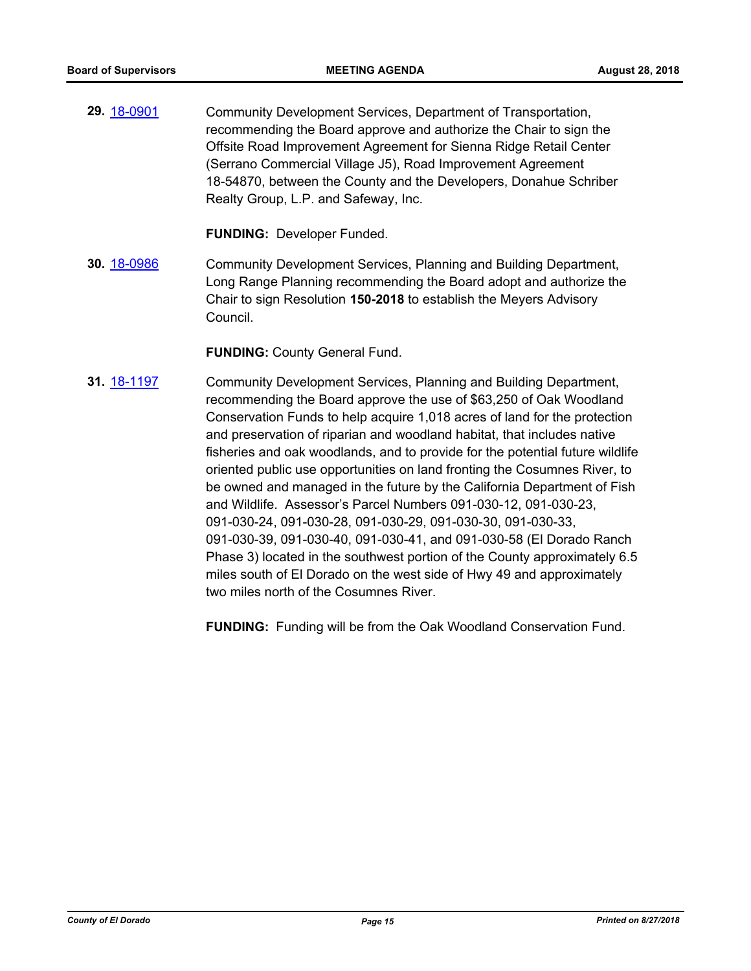**29.** [18-0901](http://eldorado.legistar.com/gateway.aspx?m=l&id=/matter.aspx?key=24249) Community Development Services, Department of Transportation, recommending the Board approve and authorize the Chair to sign the Offsite Road Improvement Agreement for Sienna Ridge Retail Center (Serrano Commercial Village J5), Road Improvement Agreement 18-54870, between the County and the Developers, Donahue Schriber Realty Group, L.P. and Safeway, Inc.

**FUNDING:** Developer Funded.

**30.** [18-0986](http://eldorado.legistar.com/gateway.aspx?m=l&id=/matter.aspx?key=24334) Community Development Services, Planning and Building Department, Long Range Planning recommending the Board adopt and authorize the Chair to sign Resolution **150-2018** to establish the Meyers Advisory Council.

**FUNDING:** County General Fund.

**31.** [18-1197](http://eldorado.legistar.com/gateway.aspx?m=l&id=/matter.aspx?key=24548) Community Development Services, Planning and Building Department, recommending the Board approve the use of \$63,250 of Oak Woodland Conservation Funds to help acquire 1,018 acres of land for the protection and preservation of riparian and woodland habitat, that includes native fisheries and oak woodlands, and to provide for the potential future wildlife oriented public use opportunities on land fronting the Cosumnes River, to be owned and managed in the future by the California Department of Fish and Wildlife. Assessor's Parcel Numbers 091-030-12, 091-030-23, 091-030-24, 091-030-28, 091-030-29, 091-030-30, 091-030-33, 091-030-39, 091-030-40, 091-030-41, and 091-030-58 (El Dorado Ranch Phase 3) located in the southwest portion of the County approximately 6.5 miles south of El Dorado on the west side of Hwy 49 and approximately two miles north of the Cosumnes River.

**FUNDING:** Funding will be from the Oak Woodland Conservation Fund.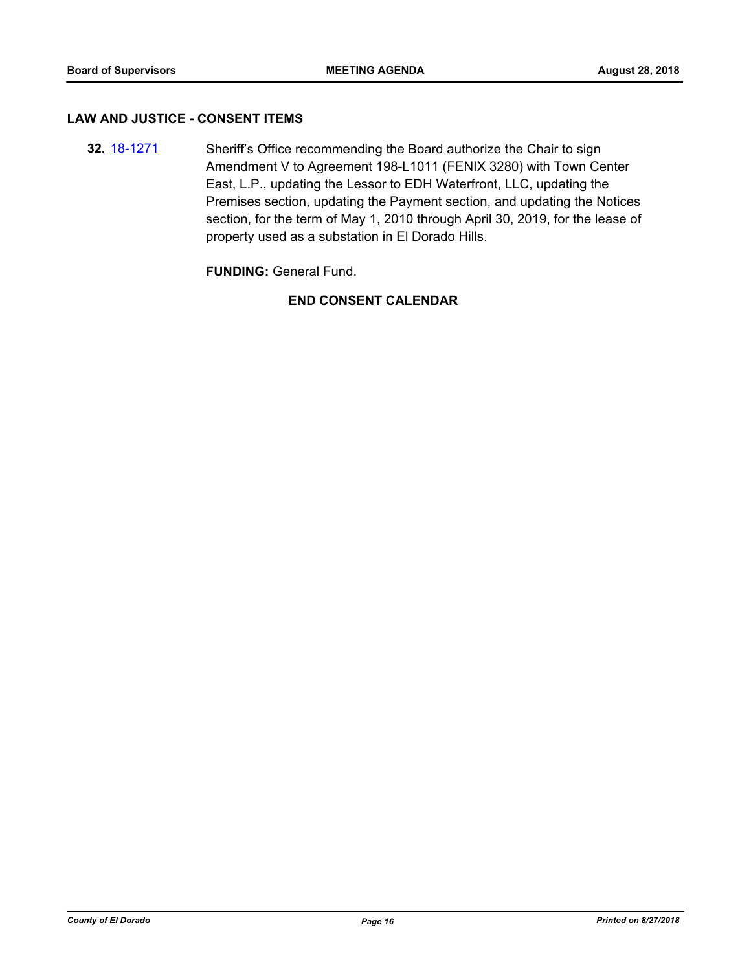#### **LAW AND JUSTICE - CONSENT ITEMS**

**32.** [18-1271](http://eldorado.legistar.com/gateway.aspx?m=l&id=/matter.aspx?key=24622) Sheriff's Office recommending the Board authorize the Chair to sign Amendment V to Agreement 198-L1011 (FENIX 3280) with Town Center East, L.P., updating the Lessor to EDH Waterfront, LLC, updating the Premises section, updating the Payment section, and updating the Notices section, for the term of May 1, 2010 through April 30, 2019, for the lease of property used as a substation in El Dorado Hills.

**FUNDING:** General Fund.

# **END CONSENT CALENDAR**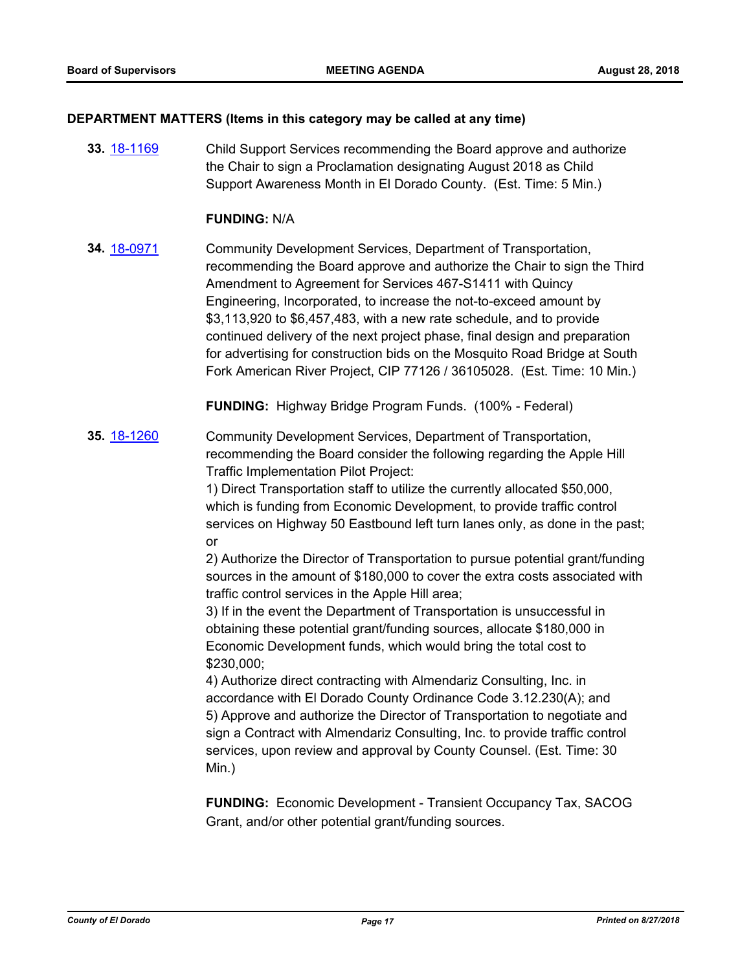#### **DEPARTMENT MATTERS (Items in this category may be called at any time)**

**33.** [18-1169](http://eldorado.legistar.com/gateway.aspx?m=l&id=/matter.aspx?key=24519) Child Support Services recommending the Board approve and authorize the Chair to sign a Proclamation designating August 2018 as Child Support Awareness Month in El Dorado County. (Est. Time: 5 Min.)

#### **FUNDING:** N/A

**34.** [18-0971](http://eldorado.legistar.com/gateway.aspx?m=l&id=/matter.aspx?key=24319) Community Development Services, Department of Transportation, recommending the Board approve and authorize the Chair to sign the Third Amendment to Agreement for Services 467-S1411 with Quincy Engineering, Incorporated, to increase the not-to-exceed amount by \$3,113,920 to \$6,457,483, with a new rate schedule, and to provide continued delivery of the next project phase, final design and preparation for advertising for construction bids on the Mosquito Road Bridge at South Fork American River Project, CIP 77126 / 36105028. (Est. Time: 10 Min.)

**FUNDING:** Highway Bridge Program Funds. (100% - Federal)

**35.** [18-1260](http://eldorado.legistar.com/gateway.aspx?m=l&id=/matter.aspx?key=24611) Community Development Services, Department of Transportation, recommending the Board consider the following regarding the Apple Hill Traffic Implementation Pilot Project:

> 1) Direct Transportation staff to utilize the currently allocated \$50,000, which is funding from Economic Development, to provide traffic control services on Highway 50 Eastbound left turn lanes only, as done in the past; or

> 2) Authorize the Director of Transportation to pursue potential grant/funding sources in the amount of \$180,000 to cover the extra costs associated with traffic control services in the Apple Hill area;

3) If in the event the Department of Transportation is unsuccessful in obtaining these potential grant/funding sources, allocate \$180,000 in Economic Development funds, which would bring the total cost to \$230,000;

4) Authorize direct contracting with Almendariz Consulting, Inc. in accordance with El Dorado County Ordinance Code 3.12.230(A); and 5) Approve and authorize the Director of Transportation to negotiate and sign a Contract with Almendariz Consulting, Inc. to provide traffic control services, upon review and approval by County Counsel. (Est. Time: 30 Min.)

**FUNDING:** Economic Development - Transient Occupancy Tax, SACOG Grant, and/or other potential grant/funding sources.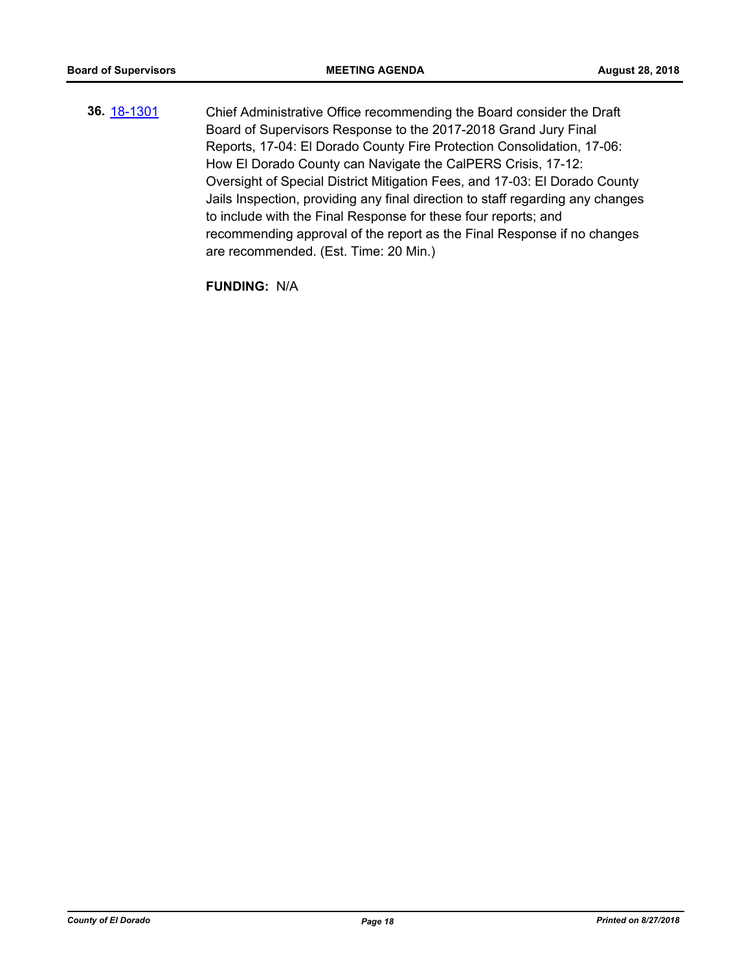**36.** [18-1301](http://eldorado.legistar.com/gateway.aspx?m=l&id=/matter.aspx?key=24652) Chief Administrative Office recommending the Board consider the Draft Board of Supervisors Response to the 2017-2018 Grand Jury Final Reports, 17-04: El Dorado County Fire Protection Consolidation, 17-06: How El Dorado County can Navigate the CalPERS Crisis, 17-12: Oversight of Special District Mitigation Fees, and 17-03: El Dorado County Jails Inspection, providing any final direction to staff regarding any changes to include with the Final Response for these four reports; and recommending approval of the report as the Final Response if no changes are recommended. (Est. Time: 20 Min.)

**FUNDING:** N/A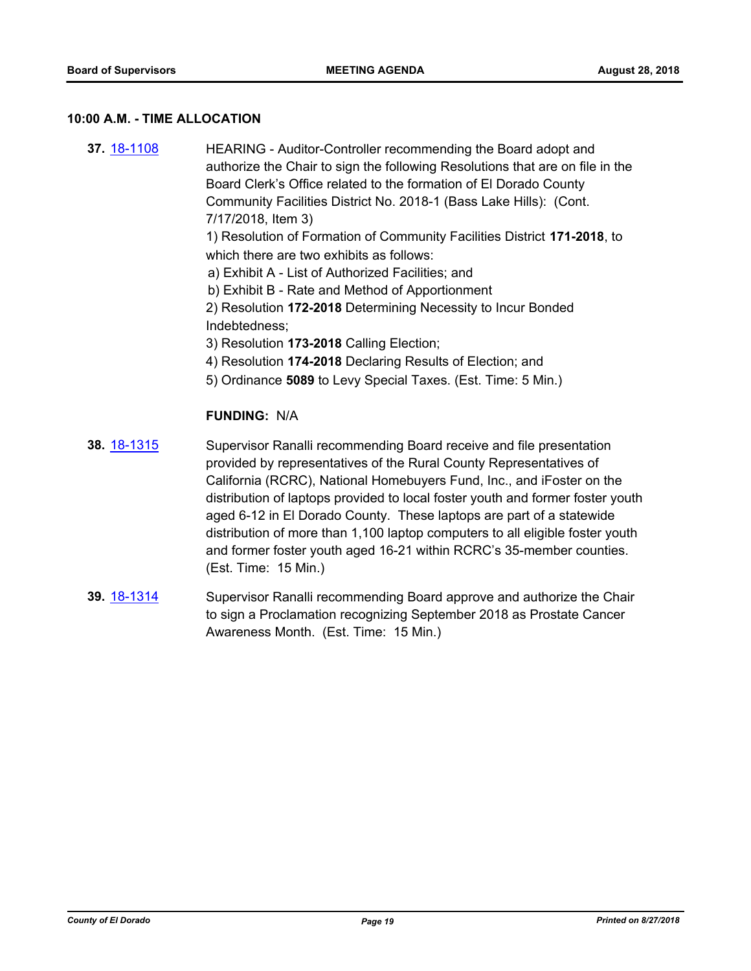#### **10:00 A.M. - TIME ALLOCATION**

- **37.** [18-1108](http://eldorado.legistar.com/gateway.aspx?m=l&id=/matter.aspx?key=24458) HEARING Auditor-Controller recommending the Board adopt and authorize the Chair to sign the following Resolutions that are on file in the Board Clerk's Office related to the formation of El Dorado County Community Facilities District No. 2018-1 (Bass Lake Hills): (Cont. 7/17/2018, Item 3) 1) Resolution of Formation of Community Facilities District **171-2018**, to which there are two exhibits as follows: a) Exhibit A - List of Authorized Facilities; and b) Exhibit B - Rate and Method of Apportionment 2) Resolution **172-2018** Determining Necessity to Incur Bonded Indebtedness; 3) Resolution **173-2018** Calling Election; 4) Resolution **174-2018** Declaring Results of Election; and 5) Ordinance **5089** to Levy Special Taxes. (Est. Time: 5 Min.) **FUNDING:** N/A **38.** [18-1315](http://eldorado.legistar.com/gateway.aspx?m=l&id=/matter.aspx?key=24666) Supervisor Ranalli recommending Board receive and file presentation provided by representatives of the Rural County Representatives of California (RCRC), National Homebuyers Fund, Inc., and iFoster on the distribution of laptops provided to local foster youth and former foster youth aged 6-12 in El Dorado County. These laptops are part of a statewide distribution of more than 1,100 laptop computers to all eligible foster youth
- **39.** [18-1314](http://eldorado.legistar.com/gateway.aspx?m=l&id=/matter.aspx?key=24665) Supervisor Ranalli recommending Board approve and authorize the Chair to sign a Proclamation recognizing September 2018 as Prostate Cancer Awareness Month. (Est. Time: 15 Min.)

(Est. Time: 15 Min.)

and former foster youth aged 16-21 within RCRC's 35-member counties.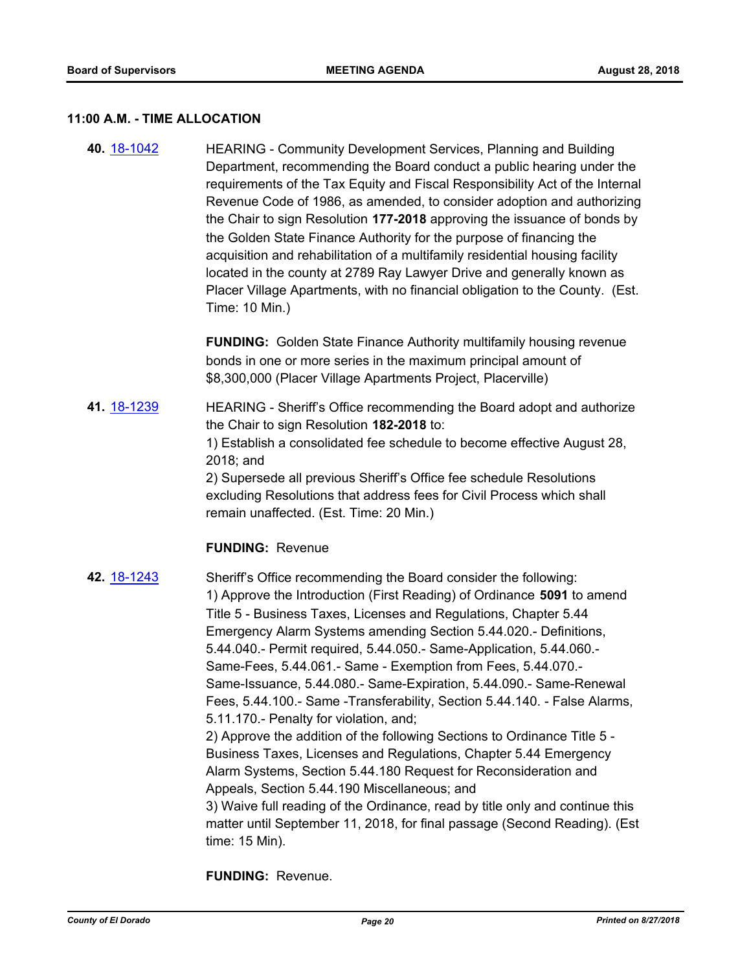#### **11:00 A.M. - TIME ALLOCATION**

**40.** [18-1042](http://eldorado.legistar.com/gateway.aspx?m=l&id=/matter.aspx?key=24391) HEARING - Community Development Services, Planning and Building Department, recommending the Board conduct a public hearing under the requirements of the Tax Equity and Fiscal Responsibility Act of the Internal Revenue Code of 1986, as amended, to consider adoption and authorizing the Chair to sign Resolution **177-2018** approving the issuance of bonds by the Golden State Finance Authority for the purpose of financing the acquisition and rehabilitation of a multifamily residential housing facility located in the county at 2789 Ray Lawyer Drive and generally known as Placer Village Apartments, with no financial obligation to the County. (Est. Time: 10 Min.)

> **FUNDING:** Golden State Finance Authority multifamily housing revenue bonds in one or more series in the maximum principal amount of \$8,300,000 (Placer Village Apartments Project, Placerville)

**41.** [18-1239](http://eldorado.legistar.com/gateway.aspx?m=l&id=/matter.aspx?key=24590) HEARING - Sheriff's Office recommending the Board adopt and authorize the Chair to sign Resolution **182-2018** to: 1) Establish a consolidated fee schedule to become effective August 28, 2018; and 2) Supersede all previous Sheriff's Office fee schedule Resolutions excluding Resolutions that address fees for Civil Process which shall remain unaffected. (Est. Time: 20 Min.)

#### **FUNDING:** Revenue

**42.** [18-1243](http://eldorado.legistar.com/gateway.aspx?m=l&id=/matter.aspx?key=24594) Sheriff's Office recommending the Board consider the following: 1) Approve the Introduction (First Reading) of Ordinance **5091** to amend Title 5 - Business Taxes, Licenses and Regulations, Chapter 5.44 Emergency Alarm Systems amending Section 5.44.020.- Definitions, 5.44.040.- Permit required, 5.44.050.- Same-Application, 5.44.060.- Same-Fees, 5.44.061.- Same - Exemption from Fees, 5.44.070.- Same-Issuance, 5.44.080.- Same-Expiration, 5.44.090.- Same-Renewal Fees, 5.44.100.- Same -Transferability, Section 5.44.140. - False Alarms, 5.11.170.- Penalty for violation, and; 2) Approve the addition of the following Sections to Ordinance Title 5 - Business Taxes, Licenses and Regulations, Chapter 5.44 Emergency Alarm Systems, Section 5.44.180 Request for Reconsideration and Appeals, Section 5.44.190 Miscellaneous; and 3) Waive full reading of the Ordinance, read by title only and continue this matter until September 11, 2018, for final passage (Second Reading). (Est

**FUNDING:** Revenue.

time: 15 Min).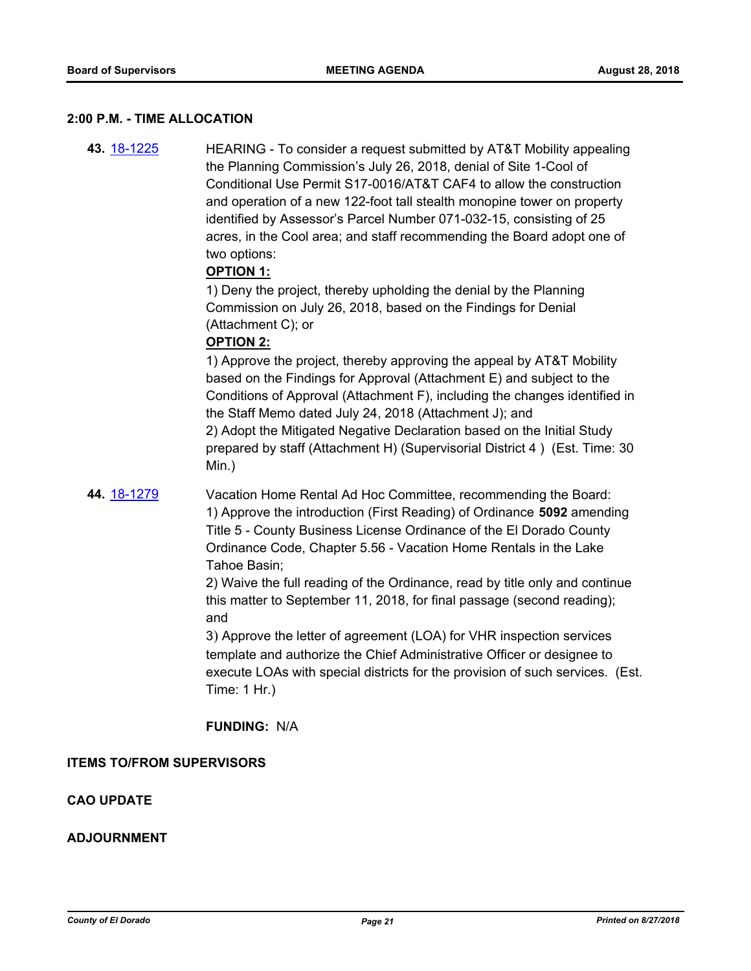#### **2:00 P.M. - TIME ALLOCATION**

**43.** [18-1225](http://eldorado.legistar.com/gateway.aspx?m=l&id=/matter.aspx?key=24576) HEARING - To consider a request submitted by AT&T Mobility appealing the Planning Commission's July 26, 2018, denial of Site 1-Cool of Conditional Use Permit S17-0016/AT&T CAF4 to allow the construction and operation of a new 122-foot tall stealth monopine tower on property identified by Assessor's Parcel Number 071-032-15, consisting of 25 acres, in the Cool area; and staff recommending the Board adopt one of two options:

#### **OPTION 1:**

1) Deny the project, thereby upholding the denial by the Planning Commission on July 26, 2018, based on the Findings for Denial (Attachment C); or

#### **OPTION 2:**

1) Approve the project, thereby approving the appeal by AT&T Mobility based on the Findings for Approval (Attachment E) and subject to the Conditions of Approval (Attachment F), including the changes identified in the Staff Memo dated July 24, 2018 (Attachment J); and 2) Adopt the Mitigated Negative Declaration based on the Initial Study prepared by staff (Attachment H) (Supervisorial District 4 ) (Est. Time: 30 Min.)

**44.** [18-1279](http://eldorado.legistar.com/gateway.aspx?m=l&id=/matter.aspx?key=24630) Vacation Home Rental Ad Hoc Committee, recommending the Board: 1) Approve the introduction (First Reading) of Ordinance **5092** amending Title 5 - County Business License Ordinance of the El Dorado County Ordinance Code, Chapter 5.56 - Vacation Home Rentals in the Lake Tahoe Basin;

> 2) Waive the full reading of the Ordinance, read by title only and continue this matter to September 11, 2018, for final passage (second reading); and

3) Approve the letter of agreement (LOA) for VHR inspection services template and authorize the Chief Administrative Officer or designee to execute LOAs with special districts for the provision of such services. (Est. Time: 1 Hr.)

**FUNDING:** N/A

#### **ITEMS TO/FROM SUPERVISORS**

#### **CAO UPDATE**

#### **ADJOURNMENT**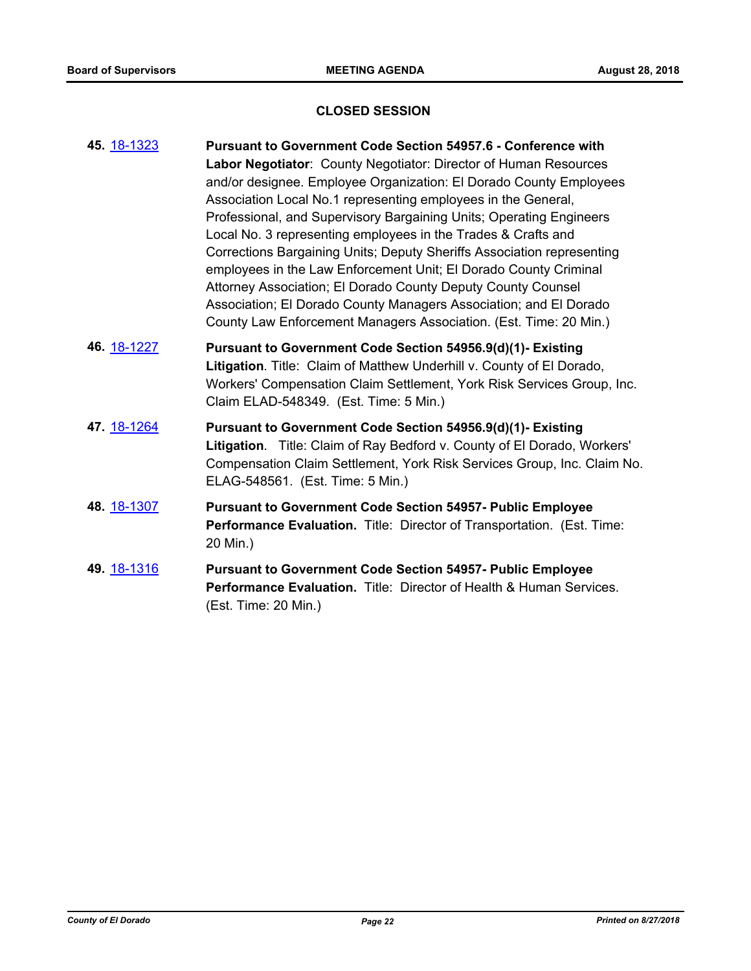# **CLOSED SESSION**

| 45. 18-1323 | <b>Pursuant to Government Code Section 54957.6 - Conference with</b><br>Labor Negotiator: County Negotiator: Director of Human Resources<br>and/or designee. Employee Organization: El Dorado County Employees<br>Association Local No.1 representing employees in the General,<br>Professional, and Supervisory Bargaining Units; Operating Engineers<br>Local No. 3 representing employees in the Trades & Crafts and<br>Corrections Bargaining Units; Deputy Sheriffs Association representing<br>employees in the Law Enforcement Unit; El Dorado County Criminal<br>Attorney Association; El Dorado County Deputy County Counsel<br>Association; El Dorado County Managers Association; and El Dorado<br>County Law Enforcement Managers Association. (Est. Time: 20 Min.) |
|-------------|---------------------------------------------------------------------------------------------------------------------------------------------------------------------------------------------------------------------------------------------------------------------------------------------------------------------------------------------------------------------------------------------------------------------------------------------------------------------------------------------------------------------------------------------------------------------------------------------------------------------------------------------------------------------------------------------------------------------------------------------------------------------------------|
| 46. 18-1227 | Pursuant to Government Code Section 54956.9(d)(1)- Existing<br>Litigation. Title: Claim of Matthew Underhill v. County of El Dorado,<br>Workers' Compensation Claim Settlement, York Risk Services Group, Inc.<br>Claim ELAD-548349. (Est. Time: 5 Min.)                                                                                                                                                                                                                                                                                                                                                                                                                                                                                                                        |
| 47. 18-1264 | Pursuant to Government Code Section 54956.9(d)(1)- Existing<br>Litigation. Title: Claim of Ray Bedford v. County of El Dorado, Workers'<br>Compensation Claim Settlement, York Risk Services Group, Inc. Claim No.<br>ELAG-548561. (Est. Time: 5 Min.)                                                                                                                                                                                                                                                                                                                                                                                                                                                                                                                          |
| 48. 18-1307 | <b>Pursuant to Government Code Section 54957- Public Employee</b><br>Performance Evaluation. Title: Director of Transportation. (Est. Time:<br>20 Min.)                                                                                                                                                                                                                                                                                                                                                                                                                                                                                                                                                                                                                         |
| 49. 18-1316 | <b>Pursuant to Government Code Section 54957- Public Employee</b><br><b>Performance Evaluation.</b> Title: Director of Health & Human Services.<br>(Est. Time: 20 Min.)                                                                                                                                                                                                                                                                                                                                                                                                                                                                                                                                                                                                         |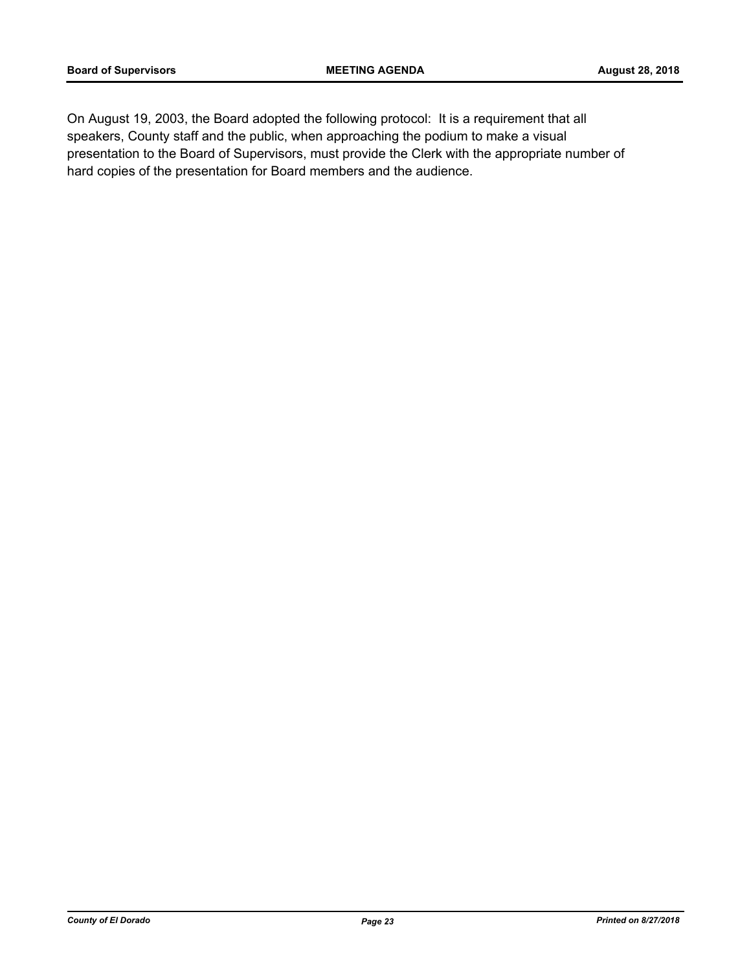On August 19, 2003, the Board adopted the following protocol: It is a requirement that all speakers, County staff and the public, when approaching the podium to make a visual presentation to the Board of Supervisors, must provide the Clerk with the appropriate number of hard copies of the presentation for Board members and the audience.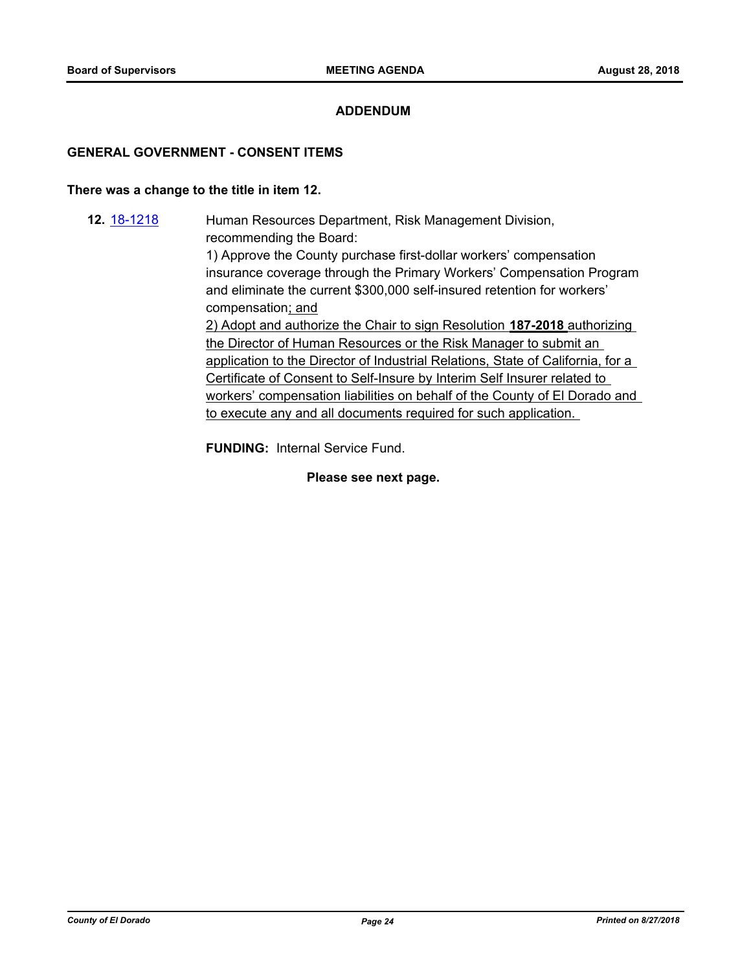#### **ADDENDUM**

#### **GENERAL GOVERNMENT - CONSENT ITEMS**

#### **There was a change to the title in item 12.**

**12.** [18-1218](http://eldorado.legistar.com/gateway.aspx?m=l&id=/matter.aspx?key=24569) Human Resources Department, Risk Management Division, recommending the Board: 1) Approve the County purchase first-dollar workers' compensation insurance coverage through the Primary Workers' Compensation Program and eliminate the current \$300,000 self-insured retention for workers' compensation; and 2) Adopt and authorize the Chair to sign Resolution **187-2018** authorizing the Director of Human Resources or the Risk Manager to submit an application to the Director of Industrial Relations, State of California, for a Certificate of Consent to Self-Insure by Interim Self Insurer related to workers' compensation liabilities on behalf of the County of El Dorado and to execute any and all documents required for such application.

**FUNDING:** Internal Service Fund.

**Please see next page.**